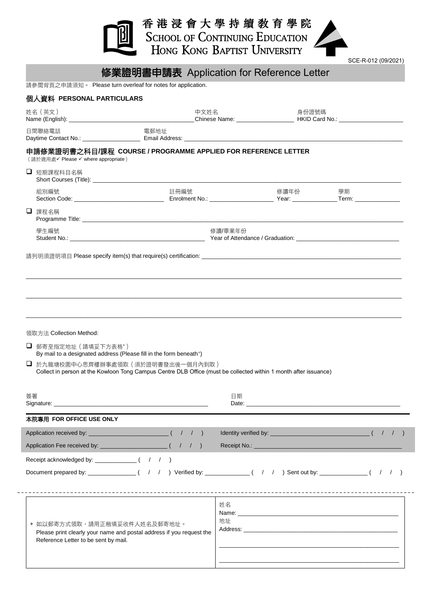|                                                                      |                                                                                                                       | 香 港 浸 會 大 學 持 續 敎 育 學 院<br><b>SCHOOL OF CONTINUING EDUCATION</b>                                                                                                                                                                         |       |                     |  |
|----------------------------------------------------------------------|-----------------------------------------------------------------------------------------------------------------------|------------------------------------------------------------------------------------------------------------------------------------------------------------------------------------------------------------------------------------------|-------|---------------------|--|
|                                                                      |                                                                                                                       | HONG KONG BAPTIST UNIVERSITY                                                                                                                                                                                                             |       | SCE-R-012 (09/2021) |  |
|                                                                      | 修業證明書申請表 Application for Reference Letter<br>請參閱背頁之申請須知。 Please turn overleaf for notes for application.              |                                                                                                                                                                                                                                          |       |                     |  |
| 個人資料 PERSONAL PARTICULARS                                            |                                                                                                                       |                                                                                                                                                                                                                                          |       |                     |  |
| 姓名(英文)                                                               | 中文姓名                                                                                                                  |                                                                                                                                                                                                                                          | 身份證號碼 |                     |  |
| 日間聯絡電話                                                               | 電郵地址                                                                                                                  |                                                                                                                                                                                                                                          |       |                     |  |
| (請於摘用處√ Please √ where appropriate)                                  | 申請修業證明書之科目/課程 COURSE / PROGRAMME APPLIED FOR REFERENCE LETTER                                                         |                                                                                                                                                                                                                                          |       |                     |  |
| □ 短期課程科目名稱                                                           |                                                                                                                       |                                                                                                                                                                                                                                          |       |                     |  |
| 組別編號                                                                 | 許冊編號                                                                                                                  | 修讀年份                                                                                                                                                                                                                                     |       | 學期                  |  |
| □ 課程名稱                                                               |                                                                                                                       |                                                                                                                                                                                                                                          |       |                     |  |
| 學生編號                                                                 |                                                                                                                       | 修讀/畢業年份                                                                                                                                                                                                                                  |       |                     |  |
| 領取方法 Collection Method:<br>□ 郵寄至指定地址 (請填妥下方表格*)                      | By mail to a designated address (Please fill in the form beneath <sup>+</sup> )<br>□ 於九龍塘校園中心思齊樓辦事處領取(須於證明書發出後一個月內到取) |                                                                                                                                                                                                                                          |       |                     |  |
|                                                                      | Collect in person at the Kowloon Tong Campus Centre DLB Office (must be collected within 1 month after issuance)      |                                                                                                                                                                                                                                          |       |                     |  |
| 簽署                                                                   |                                                                                                                       | 日期<br>Date: <u>Date:</u> The Contract of the Contract of the Contract of the Contract of the Contract of the Contract of the Contract of the Contract of the Contract of the Contract of the Contract of the Contract of the Contract of |       |                     |  |
| 本院專用 FOR OFFICE USE ONLY                                             |                                                                                                                       |                                                                                                                                                                                                                                          |       |                     |  |
|                                                                      |                                                                                                                       | Identity verified by: $\frac{1}{2}$ $(1)$                                                                                                                                                                                                |       |                     |  |
|                                                                      |                                                                                                                       |                                                                                                                                                                                                                                          |       |                     |  |
|                                                                      |                                                                                                                       |                                                                                                                                                                                                                                          |       |                     |  |
|                                                                      |                                                                                                                       |                                                                                                                                                                                                                                          |       |                     |  |
| + 如以郵寄方式領取,請用正楷填妥收件人姓名及郵寄地址。<br>Reference Letter to be sent by mail. | Please print clearly your name and postal address if you request the                                                  | 姓名<br>地址                                                                                                                                                                                                                                 |       |                     |  |

\_\_\_\_\_\_\_\_\_\_\_\_\_\_\_\_\_\_\_\_\_\_\_\_\_\_\_\_\_\_\_\_\_\_\_\_\_\_\_\_\_\_\_\_\_\_\_\_\_\_\_\_\_\_\_\_